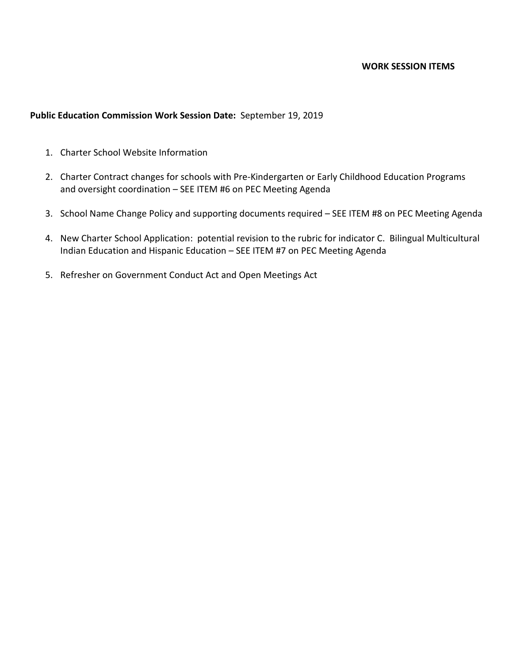#### **WORK SESSION ITEMS**

## **Public Education Commission Work Session Date:** September 19, 2019

- 1. Charter School Website Information
- 2. Charter Contract changes for schools with Pre-Kindergarten or Early Childhood Education Programs and oversight coordination – SEE ITEM #6 on PEC Meeting Agenda
- 3. School Name Change Policy and supporting documents required SEE ITEM #8 on PEC Meeting Agenda
- 4. New Charter School Application: potential revision to the rubric for indicator C. Bilingual Multicultural Indian Education and Hispanic Education – SEE ITEM #7 on PEC Meeting Agenda
- 5. Refresher on Government Conduct Act and Open Meetings Act